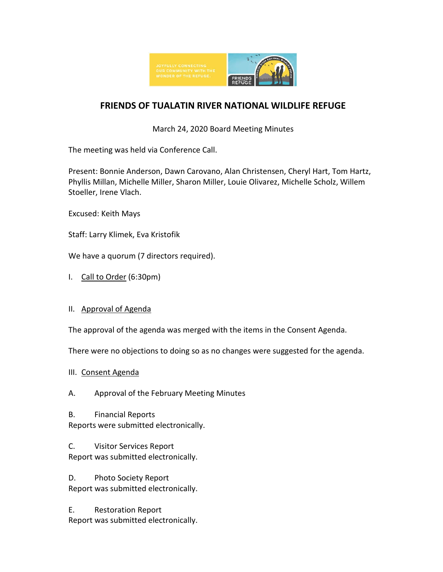

# **FRIENDS OF TUALATIN RIVER NATIONAL WILDLIFE REFUGE**

March 24, 2020 Board Meeting Minutes

The meeting was held via Conference Call.

Present: Bonnie Anderson, Dawn Carovano, Alan Christensen, Cheryl Hart, Tom Hartz, Phyllis Millan, Michelle Miller, Sharon Miller, Louie Olivarez, Michelle Scholz, Willem Stoeller, Irene Vlach.

Excused: Keith Mays

Staff: Larry Klimek, Eva Kristofik

We have a quorum (7 directors required).

- I. Call to Order (6:30pm)
- II. Approval of Agenda

The approval of the agenda was merged with the items in the Consent Agenda.

There were no objections to doing so as no changes were suggested for the agenda.

- III. Consent Agenda
- A. Approval of the February Meeting Minutes

B. Financial Reports Reports were submitted electronically.

C. Visitor Services Report Report was submitted electronically.

D. Photo Society Report Report was submitted electronically.

E. Restoration Report Report was submitted electronically.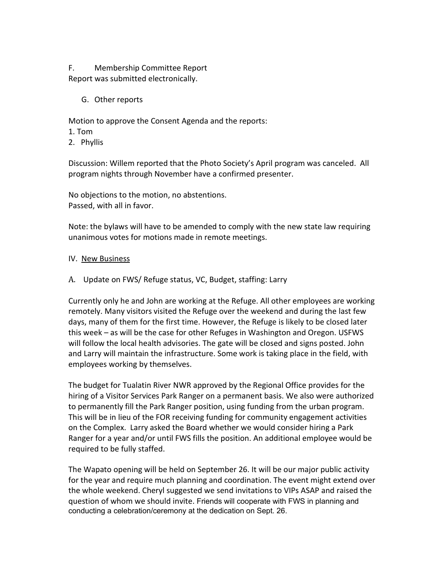# F. Membership Committee Report

Report was submitted electronically.

G. Other reports

Motion to approve the Consent Agenda and the reports:

- 1. Tom
- 2. Phyllis

Discussion: Willem reported that the Photo Society's April program was canceled. All program nights through November have a confirmed presenter.

No objections to the motion, no abstentions. Passed, with all in favor.

Note: the bylaws will have to be amended to comply with the new state law requiring unanimous votes for motions made in remote meetings.

# IV. New Business

A. Update on FWS/ Refuge status, VC, Budget, staffing: Larry

Currently only he and John are working at the Refuge. All other employees are working remotely. Many visitors visited the Refuge over the weekend and during the last few days, many of them for the first time. However, the Refuge is likely to be closed later this week – as will be the case for other Refuges in Washington and Oregon. USFWS will follow the local health advisories. The gate will be closed and signs posted. John and Larry will maintain the infrastructure. Some work is taking place in the field, with employees working by themselves.

The budget for Tualatin River NWR approved by the Regional Office provides for the hiring of a Visitor Services Park Ranger on a permanent basis. We also were authorized to permanently fill the Park Ranger position, using funding from the urban program. This will be in lieu of the FOR receiving funding for community engagement activities on the Complex. Larry asked the Board whether we would consider hiring a Park Ranger for a year and/or until FWS fills the position. An additional employee would be required to be fully staffed.

The Wapato opening will be held on September 26. It will be our major public activity for the year and require much planning and coordination. The event might extend over the whole weekend. Cheryl suggested we send invitations to VIPs ASAP and raised the question of whom we should invite. Friends will cooperate with FWS in planning and conducting a celebration/ceremony at the dedication on Sept. 26.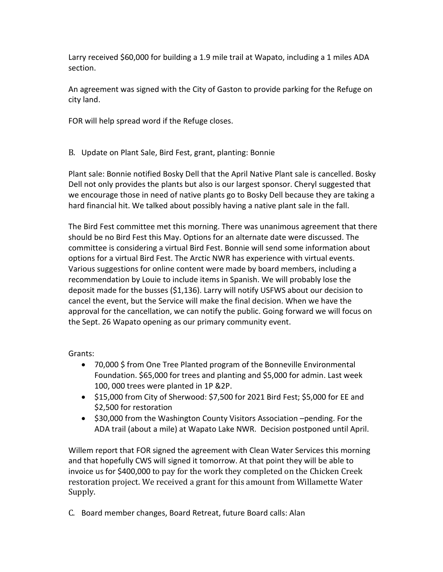Larry received \$60,000 for building a 1.9 mile trail at Wapato, including a 1 miles ADA section.

An agreement was signed with the City of Gaston to provide parking for the Refuge on city land.

FOR will help spread word if the Refuge closes.

B. Update on Plant Sale, Bird Fest, grant, planting: Bonnie

Plant sale: Bonnie notified Bosky Dell that the April Native Plant sale is cancelled. Bosky Dell not only provides the plants but also is our largest sponsor. Cheryl suggested that we encourage those in need of native plants go to Bosky Dell because they are taking a hard financial hit. We talked about possibly having a native plant sale in the fall.

The Bird Fest committee met this morning. There was unanimous agreement that there should be no Bird Fest this May. Options for an alternate date were discussed. The committee is considering a virtual Bird Fest. Bonnie will send some information about options for a virtual Bird Fest. The Arctic NWR has experience with virtual events. Various suggestions for online content were made by board members, including a recommendation by Louie to include items in Spanish. We will probably lose the deposit made for the busses (\$1,136). Larry will notify USFWS about our decision to cancel the event, but the Service will make the final decision. When we have the approval for the cancellation, we can notify the public. Going forward we will focus on the Sept. 26 Wapato opening as our primary community event.

Grants:

- 70,000 \$ from One Tree Planted program of the Bonneville Environmental Foundation. \$65,000 for trees and planting and \$5,000 for admin. Last week 100, 000 trees were planted in 1P &2P.
- \$15,000 from City of Sherwood: \$7,500 for 2021 Bird Fest; \$5,000 for EE and \$2,500 for restoration
- \$30,000 from the Washington County Visitors Association –pending. For the ADA trail (about a mile) at Wapato Lake NWR. Decision postponed until April.

Willem report that FOR signed the agreement with Clean Water Services this morning and that hopefully CWS will signed it tomorrow. At that point they will be able to invoice us for \$400,000 to pay for the work they completed on the Chicken Creek restoration project. We received a grant for this amount from Willamette Water Supply.

C. Board member changes, Board Retreat, future Board calls: Alan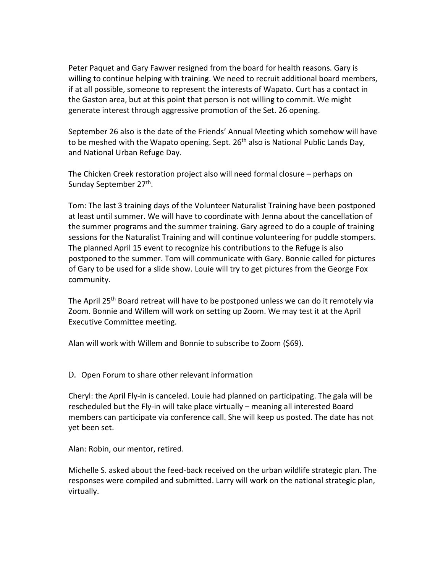Peter Paquet and Gary Fawver resigned from the board for health reasons. Gary is willing to continue helping with training. We need to recruit additional board members, if at all possible, someone to represent the interests of Wapato. Curt has a contact in the Gaston area, but at this point that person is not willing to commit. We might generate interest through aggressive promotion of the Set. 26 opening.

September 26 also is the date of the Friends' Annual Meeting which somehow will have to be meshed with the Wapato opening. Sept. 26<sup>th</sup> also is National Public Lands Day, and National Urban Refuge Day.

The Chicken Creek restoration project also will need formal closure – perhaps on Sunday September 27th.

Tom: The last 3 training days of the Volunteer Naturalist Training have been postponed at least until summer. We will have to coordinate with Jenna about the cancellation of the summer programs and the summer training. Gary agreed to do a couple of training sessions for the Naturalist Training and will continue volunteering for puddle stompers. The planned April 15 event to recognize his contributions to the Refuge is also postponed to the summer. Tom will communicate with Gary. Bonnie called for pictures of Gary to be used for a slide show. Louie will try to get pictures from the George Fox community.

The April 25<sup>th</sup> Board retreat will have to be postponed unless we can do it remotely via Zoom. Bonnie and Willem will work on setting up Zoom. We may test it at the April Executive Committee meeting.

Alan will work with Willem and Bonnie to subscribe to Zoom (\$69).

#### D. Open Forum to share other relevant information

Cheryl: the April Fly-in is canceled. Louie had planned on participating. The gala will be rescheduled but the Fly-in will take place virtually – meaning all interested Board members can participate via conference call. She will keep us posted. The date has not yet been set.

Alan: Robin, our mentor, retired.

Michelle S. asked about the feed-back received on the urban wildlife strategic plan. The responses were compiled and submitted. Larry will work on the national strategic plan, virtually.